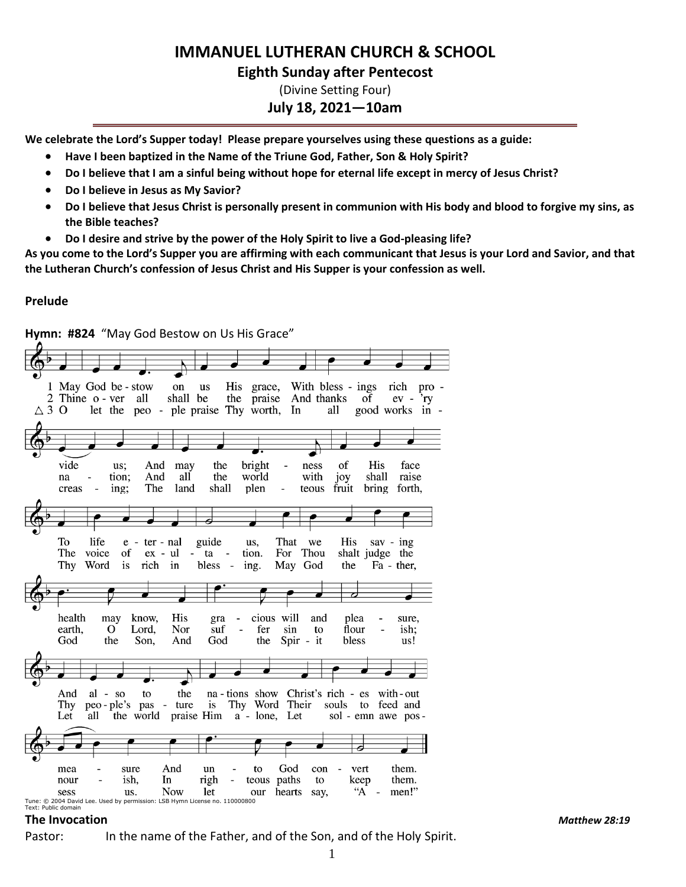# **IMMANUEL LUTHERAN CHURCH & SCHOOL**

## **Eighth Sunday after Pentecost**

(Divine Setting Four)

## **July 18, 2021—10am**

**We celebrate the Lord's Supper today! Please prepare yourselves using these questions as a guide:**

- **Have I been baptized in the Name of the Triune God, Father, Son & Holy Spirit?**
- **Do I believe that I am a sinful being without hope for eternal life except in mercy of Jesus Christ?**
- **Do I believe in Jesus as My Savior?**
- **Do I believe that Jesus Christ is personally present in communion with His body and blood to forgive my sins, as the Bible teaches?**
- **Do I desire and strive by the power of the Holy Spirit to live a God-pleasing life?**

**As you come to the Lord's Supper you are affirming with each communicant that Jesus is your Lord and Savior, and that the Lutheran Church's confession of Jesus Christ and His Supper is your confession as well.**

#### **Prelude**



#### **The Invocation** *Matthew 28:19*

Pastor: In the name of the Father, and of the Son, and of the Holy Spirit.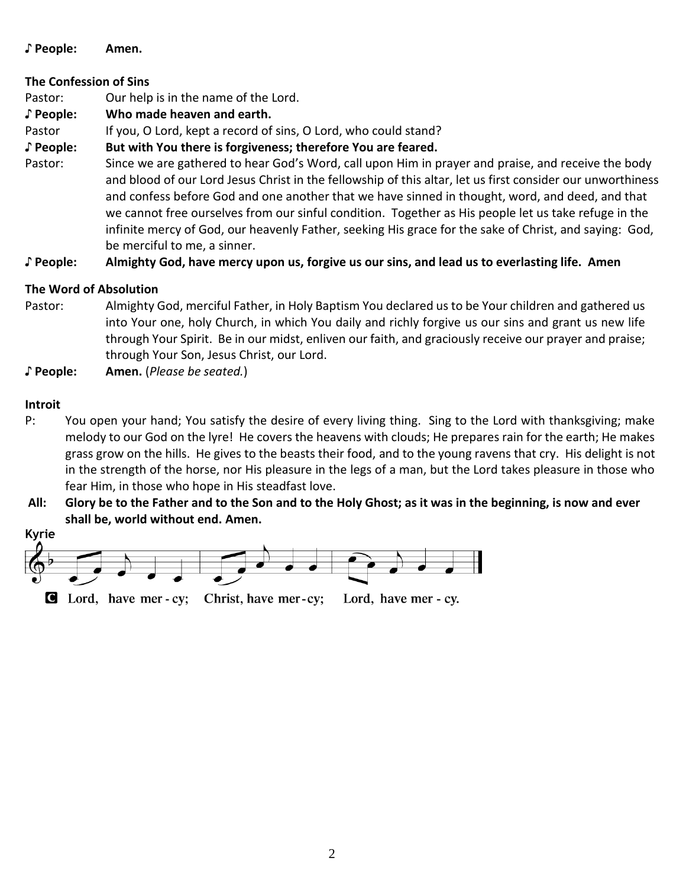### **♪ People: Amen.**

## **The Confession of Sins**

Pastor: Our help is in the name of the Lord.

**♪ People: Who made heaven and earth.**

Pastor If you, O Lord, kept a record of sins, O Lord, who could stand?

**♪ People: But with You there is forgiveness; therefore You are feared.**

Pastor: Since we are gathered to hear God's Word, call upon Him in prayer and praise, and receive the body and blood of our Lord Jesus Christ in the fellowship of this altar, let us first consider our unworthiness and confess before God and one another that we have sinned in thought, word, and deed, and that we cannot free ourselves from our sinful condition. Together as His people let us take refuge in the infinite mercy of God, our heavenly Father, seeking His grace for the sake of Christ, and saying: God, be merciful to me, a sinner.

**♪ People: Almighty God, have mercy upon us, forgive us our sins, and lead us to everlasting life. Amen**

## **The Word of Absolution**

Pastor: Almighty God, merciful Father, in Holy Baptism You declared us to be Your children and gathered us into Your one, holy Church, in which You daily and richly forgive us our sins and grant us new life through Your Spirit. Be in our midst, enliven our faith, and graciously receive our prayer and praise; through Your Son, Jesus Christ, our Lord.

**♪ People: Amen.** (*Please be seated.*)

## **Introit**

- P: You open your hand; You satisfy the desire of every living thing. Sing to the Lord with thanksgiving; make melody to our God on the lyre! He covers the heavens with clouds; He prepares rain for the earth; He makes grass grow on the hills. He gives to the beasts their food, and to the young ravens that cry. His delight is not in the strength of the horse, nor His pleasure in the legs of a man, but the Lord takes pleasure in those who fear Him, in those who hope in His steadfast love.
- **All: Glory be to the Father and to the Son and to the Holy Ghost; as it was in the beginning, is now and ever shall be, world without end. Amen.**

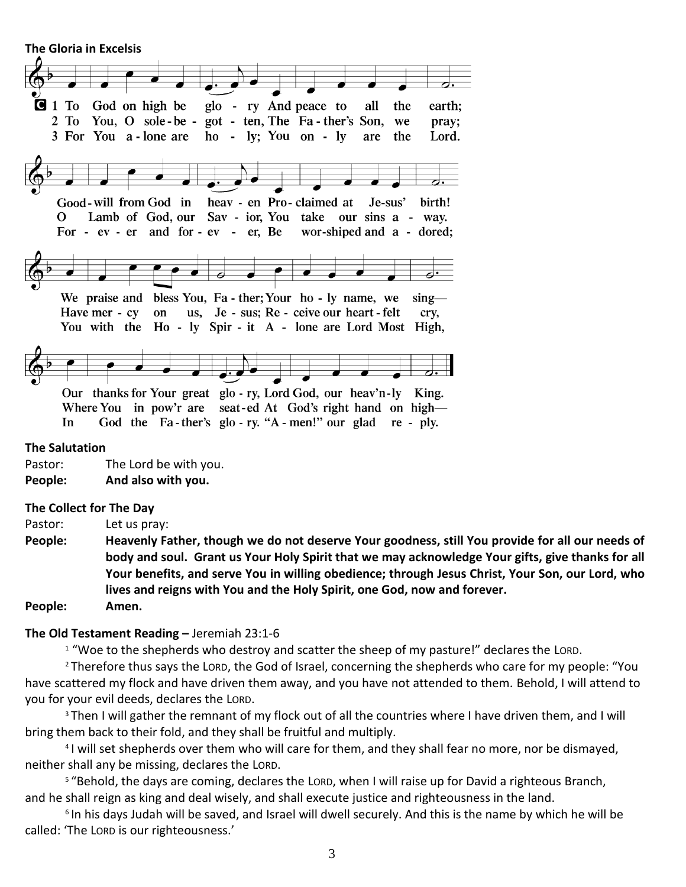**The Gloria in Excelsis** 



#### **The Salutation**

Pastor: The Lord be with you. **People: And also with you.**

#### **The Collect for The Day**

Pastor: Let us pray:

**People: Heavenly Father, though we do not deserve Your goodness, still You provide for all our needs of body and soul. Grant us Your Holy Spirit that we may acknowledge Your gifts, give thanks for all Your benefits, and serve You in willing obedience; through Jesus Christ, Your Son, our Lord, who lives and reigns with You and the Holy Spirit, one God, now and forever.**

#### **People: Amen.**

#### **The Old Testament Reading –** Jeremiah 23:1-6

<sup>1</sup> "Woe to the shepherds who destroy and scatter the sheep of my pasture!" declares the LORD.

<sup>2</sup> Therefore thus says the LORD, the God of Israel, concerning the shepherds who care for my people: "You have scattered my flock and have driven them away, and you have not attended to them. Behold, I will attend to you for your evil deeds, declares the LORD.

<sup>3</sup> Then I will gather the remnant of my flock out of all the countries where I have driven them, and I will bring them back to their fold, and they shall be fruitful and multiply.

4 I will set shepherds over them who will care for them, and they shall fear no more, nor be dismayed, neither shall any be missing, declares the LORD.

<sup>5</sup> "Behold, the days are coming, declares the LORD, when I will raise up for David a righteous Branch, and he shall reign as king and deal wisely, and shall execute justice and righteousness in the land.

6 In his days Judah will be saved, and Israel will dwell securely. And this is the name by which he will be called: 'The LORD is our righteousness.'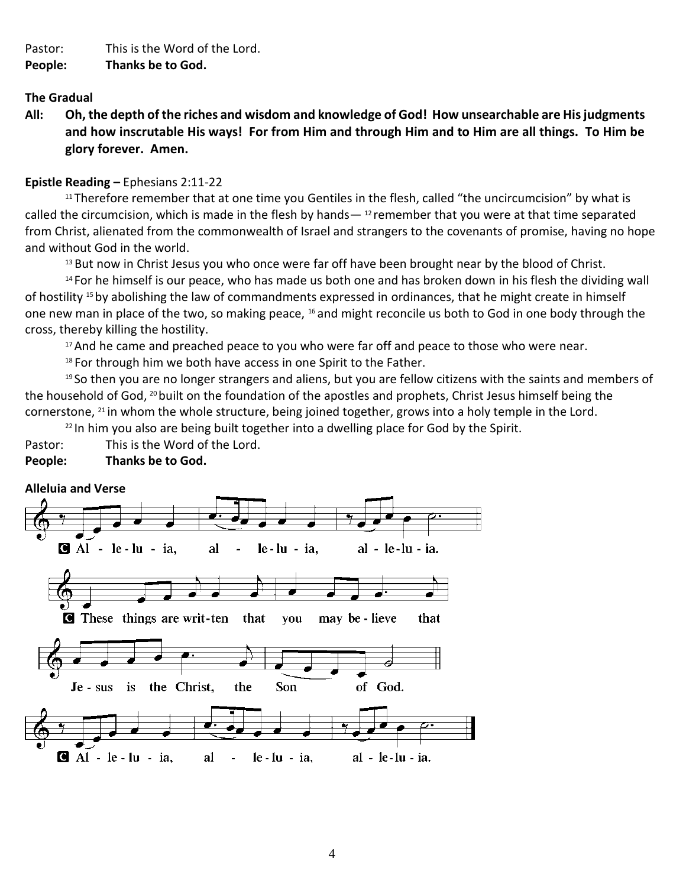Pastor: This is the Word of the Lord.

### **People: Thanks be to God.**

#### **The Gradual**

**All: Oh, the depth of the riches and wisdom and knowledge of God! How unsearchable are His judgments and how inscrutable His ways! For from Him and through Him and to Him are all things. To Him be glory forever. Amen.**

#### **Epistle Reading –** Ephesians 2:11-22

<sup>11</sup> Therefore remember that at one time you Gentiles in the flesh, called "the uncircumcision" by what is called the circumcision, which is made in the flesh by hands— $12$  remember that you were at that time separated from Christ, alienated from the commonwealth of Israel and strangers to the covenants of promise, having no hope and without God in the world.

<sup>13</sup> But now in Christ Jesus you who once were far off have been brought near by the blood of Christ.

<sup>14</sup> For he himself is our peace, who has made us both one and has broken down in his flesh the dividing wall of hostility <sup>15</sup> by abolishing the law of commandments expressed in ordinances, that he might create in himself one new man in place of the two, so making peace, <sup>16</sup> and might reconcile us both to God in one body through the cross, thereby killing the hostility.

 $17$  And he came and preached peace to you who were far off and peace to those who were near.

<sup>18</sup> For through him we both have access in one Spirit to the Father.

<sup>19</sup> So then you are no longer strangers and aliens, but you are fellow citizens with the saints and members of the household of God, <sup>20</sup> built on the foundation of the apostles and prophets, Christ Jesus himself being the cornerstone,  $^{21}$  in whom the whole structure, being joined together, grows into a holy temple in the Lord.

 $22$  In him you also are being built together into a dwelling place for God by the Spirit.

Pastor: This is the Word of the Lord.

## **People: Thanks be to God.**

#### **Alleluia and Verse**

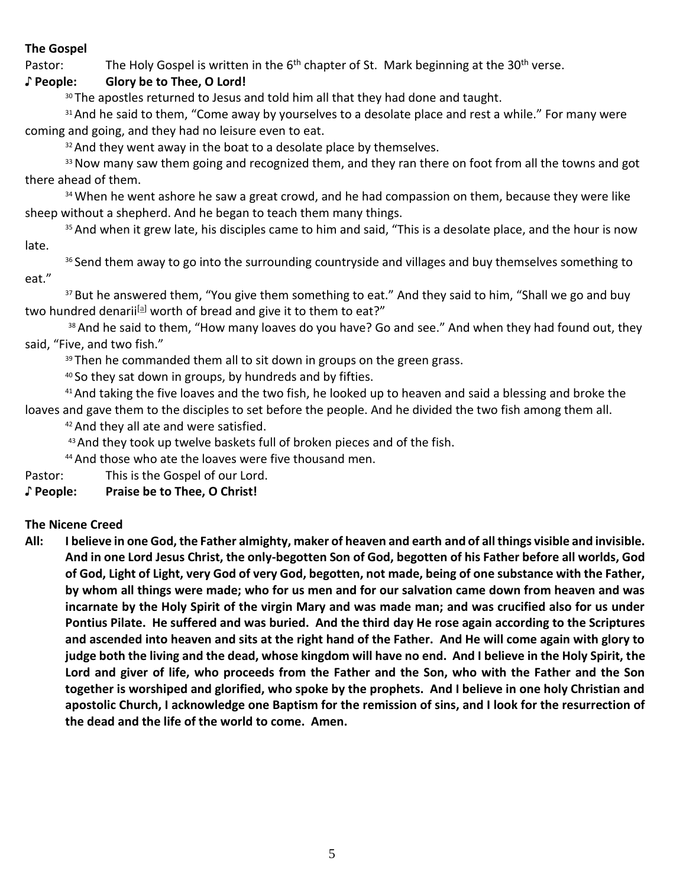## **The Gospel**

Pastor: The Holy Gospel is written in the 6<sup>th</sup> chapter of St. Mark beginning at the 30<sup>th</sup> verse.

## **♪ People: Glory be to Thee, O Lord!**

<sup>30</sup> The apostles returned to Jesus and told him all that they had done and taught.

<sup>31</sup> And he said to them, "Come away by yourselves to a desolate place and rest a while." For many were coming and going, and they had no leisure even to eat.

 $32$  And they went away in the boat to a desolate place by themselves.

<sup>33</sup> Now many saw them going and recognized them, and they ran there on foot from all the towns and got there ahead of them.

<sup>34</sup> When he went ashore he saw a great crowd, and he had compassion on them, because they were like sheep without a shepherd. And he began to teach them many things.

<sup>35</sup> And when it grew late, his disciples came to him and said, "This is a desolate place, and the hour is now late.

36 Send them away to go into the surrounding countryside and villages and buy themselves something to eat."

<sup>37</sup> But he answered them, "You give them something to eat." And they said to him, "Shall we go and buy two hundred denarii<sup>[\[a\]](https://www.biblegateway.com/passage/?search=Mark+6%3A30-44&version=ESV#fen-ESV-24441a)</sup> worth of bread and give it to them to eat?"

38 And he said to them, "How many loaves do you have? Go and see." And when they had found out, they said, "Five, and two fish."

<sup>39</sup> Then he commanded them all to sit down in groups on the green grass.

<sup>40</sup> So they sat down in groups, by hundreds and by fifties.

<sup>41</sup> And taking the five loaves and the two fish, he looked up to heaven and said a blessing and broke the loaves and gave them to the disciples to set before the people. And he divided the two fish among them all.

<sup>42</sup> And they all ate and were satisfied.

43 And they took up twelve baskets full of broken pieces and of the fish.

44 And those who ate the loaves were five thousand men.

Pastor: This is the Gospel of our Lord.

**♪ People: Praise be to Thee, O Christ!**

## **The Nicene Creed**

**All: I believe in one God, the Father almighty, maker of heaven and earth and of all things visible and invisible. And in one Lord Jesus Christ, the only-begotten Son of God, begotten of his Father before all worlds, God of God, Light of Light, very God of very God, begotten, not made, being of one substance with the Father, by whom all things were made; who for us men and for our salvation came down from heaven and was incarnate by the Holy Spirit of the virgin Mary and was made man; and was crucified also for us under Pontius Pilate. He suffered and was buried. And the third day He rose again according to the Scriptures and ascended into heaven and sits at the right hand of the Father. And He will come again with glory to judge both the living and the dead, whose kingdom will have no end. And I believe in the Holy Spirit, the Lord and giver of life, who proceeds from the Father and the Son, who with the Father and the Son together is worshiped and glorified, who spoke by the prophets. And I believe in one holy Christian and apostolic Church, I acknowledge one Baptism for the remission of sins, and I look for the resurrection of the dead and the life of the world to come. Amen.**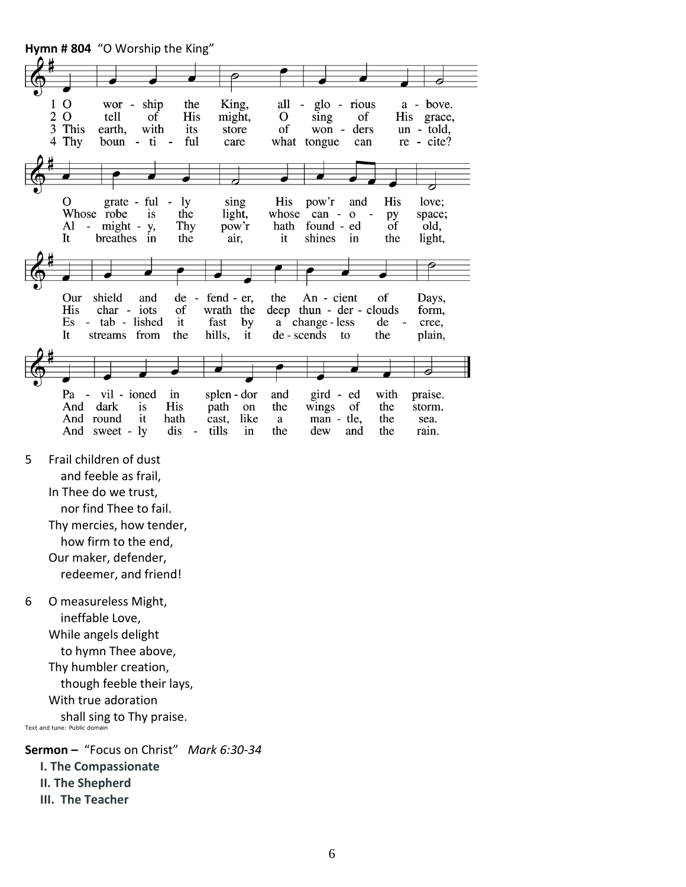

**III. The Teacher**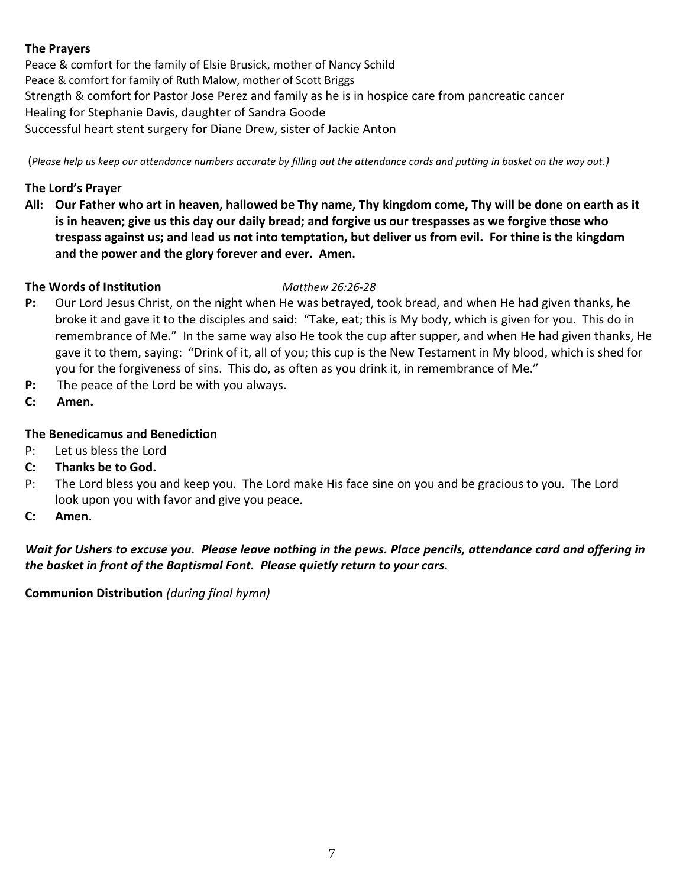## **The Prayers**

Peace & comfort for the family of Elsie Brusick, mother of Nancy Schild Peace & comfort for family of Ruth Malow, mother of Scott Briggs Strength & comfort for Pastor Jose Perez and family as he is in hospice care from pancreatic cancer Healing for Stephanie Davis, daughter of Sandra Goode Successful heart stent surgery for Diane Drew, sister of Jackie Anton

(*Please help us keep our attendance numbers accurate by filling out the attendance cards and putting in basket on the way out.)*

## **The Lord's Prayer**

**All: Our Father who art in heaven, hallowed be Thy name, Thy kingdom come, Thy will be done on earth as it is in heaven; give us this day our daily bread; and forgive us our trespasses as we forgive those who trespass against us; and lead us not into temptation, but deliver us from evil. For thine is the kingdom and the power and the glory forever and ever. Amen.**

## **The Words of Institution** *Matthew 26:26-28*

- **P:** Our Lord Jesus Christ, on the night when He was betrayed, took bread, and when He had given thanks, he broke it and gave it to the disciples and said: "Take, eat; this is My body, which is given for you. This do in remembrance of Me." In the same way also He took the cup after supper, and when He had given thanks, He gave it to them, saying: "Drink of it, all of you; this cup is the New Testament in My blood, which is shed for you for the forgiveness of sins. This do, as often as you drink it, in remembrance of Me."
- **P:** The peace of the Lord be with you always.
- **C: Amen.**

## **The Benedicamus and Benediction**

- P: Let us bless the Lord
- **C: Thanks be to God.**
- P: The Lord bless you and keep you. The Lord make His face sine on you and be gracious to you. The Lord look upon you with favor and give you peace.
- **C: Amen.**

*Wait for Ushers to excuse you. Please leave nothing in the pews. Place pencils, attendance card and offering in the basket in front of the Baptismal Font. Please quietly return to your cars.*

**Communion Distribution** *(during final hymn)*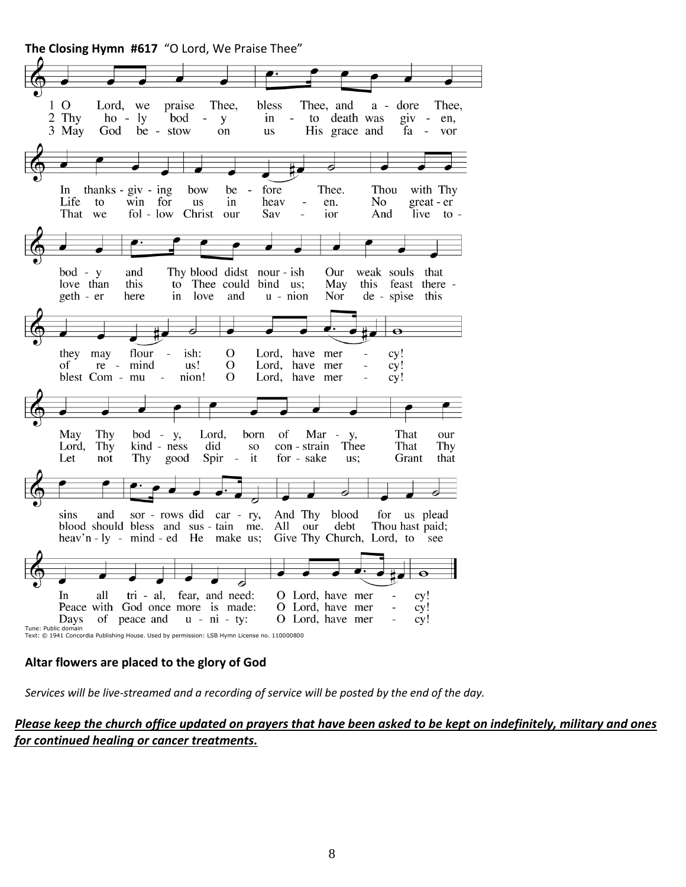**The Closing Hymn #617** "O Lord, We Praise Thee"

 $1<sub>0</sub>$ Thee, bless Thee, and Lord, we praise  $a$ dore Thee,  $\overline{2}$ Thy  $ho - ly$ bod  $in$  $\overline{\phantom{a}}$ to death was  $giv - en$ , y 3 May God be - stow on us His grace and fa vor In thanks -  $giv - ing$ bow be fore Thee. Thou with Thy Life to win for us in heav en. No great - er  $\overline{a}$ That we fol - low Christ our Sav ior And live to bod - y and Thy blood didst nour - ish Our weak souls that love than this to Thee could bind us; May this feast there -Nor geth - er here in love and  $u - ni$ on de - spise this  $\overline{\mathbf{o}}$ they may flour ish:  $\Omega$ Lord, have mer  $cy!$  $\overline{a}$  $re \mathbf O$ Lord, have mer of mind us! cy! nion! blest Com - mu  $\Omega$ Lord, have mer  $cy!$  $\overline{a}$ Lord, That May Thy  $bod - y$ , born of Mar -V, our Lord, Thy kind - ness did con - strain Thee That Thy **SO** Let not Thy good Spir  $\overline{\phantom{a}}$ it for - sake Grant that us; sins and sor - rows did car - ry, And Thy blood for us plead blood should bless and sus-tain me. All our debt Thou hast paid; heav'n  $-1y$  - mind  $-ed$  He make us; Give Thy Church, Lord, to see In tri - al, fear, and need: O Lord, have mer all cy! Peace with God once more is made: O Lord, have mer cy! of peace and  $u - ni - ty$ : O Lord, have mer cy! Days Tune: Public domain Text: © 1941 Concordia Publishing House. Used by permission: LSB Hymn License no. 110000800

#### **Altar flowers are placed to the glory of God**

*Services will be live-streamed and a recording of service will be posted by the end of the day.* 

*Please keep the church office updated on prayers that have been asked to be kept on indefinitely, military and ones for continued healing or cancer treatments.*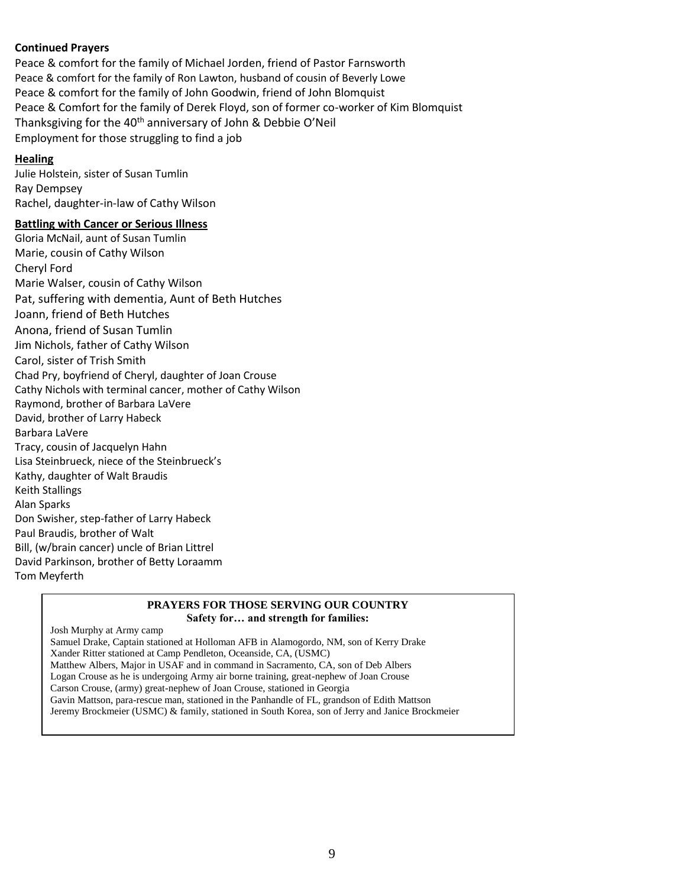#### **Continued Prayers**

Peace & comfort for the family of Michael Jorden, friend of Pastor Farnsworth Peace & comfort for the family of Ron Lawton, husband of cousin of Beverly Lowe Peace & comfort for the family of John Goodwin, friend of John Blomquist Peace & Comfort for the family of Derek Floyd, son of former co-worker of Kim Blomquist Thanksgiving for the 40<sup>th</sup> anniversary of John & Debbie O'Neil Employment for those struggling to find a job

#### **Healing**

Julie Holstein, sister of Susan Tumlin Ray Dempsey Rachel, daughter-in-law of Cathy Wilson

#### **Battling with Cancer or Serious Illness**

Gloria McNail, aunt of Susan Tumlin Marie, cousin of Cathy Wilson Cheryl Ford Marie Walser, cousin of Cathy Wilson Pat, suffering with dementia, Aunt of Beth Hutches Joann, friend of Beth Hutches Anona, friend of Susan Tumlin Jim Nichols, father of Cathy Wilson Carol, sister of Trish Smith Chad Pry, boyfriend of Cheryl, daughter of Joan Crouse Cathy Nichols with terminal cancer, mother of Cathy Wilson Raymond, brother of Barbara LaVere David, brother of Larry Habeck Barbara LaVere Tracy, cousin of Jacquelyn Hahn Lisa Steinbrueck, niece of the Steinbrueck's Kathy, daughter of Walt Braudis Keith Stallings Alan Sparks Don Swisher, step-father of Larry Habeck Paul Braudis, brother of Walt Bill, (w/brain cancer) uncle of Brian Littrel David Parkinson, brother of Betty Loraamm Tom Meyferth

#### **PRAYERS FOR THOSE SERVING OUR COUNTRY Safety for… and strength for families:**

Josh Murphy at Army camp

Samuel Drake, Captain stationed at Holloman AFB in Alamogordo, NM, son of Kerry Drake Xander Ritter stationed at Camp Pendleton, Oceanside, CA, (USMC) Matthew Albers, Major in USAF and in command in Sacramento, CA, son of Deb Albers Logan Crouse as he is undergoing Army air borne training, great-nephew of Joan Crouse Carson Crouse, (army) great-nephew of Joan Crouse, stationed in Georgia Gavin Mattson, para-rescue man, stationed in the Panhandle of FL, grandson of Edith Mattson Jeremy Brockmeier (USMC) & family, stationed in South Korea, son of Jerry and Janice Brockmeier